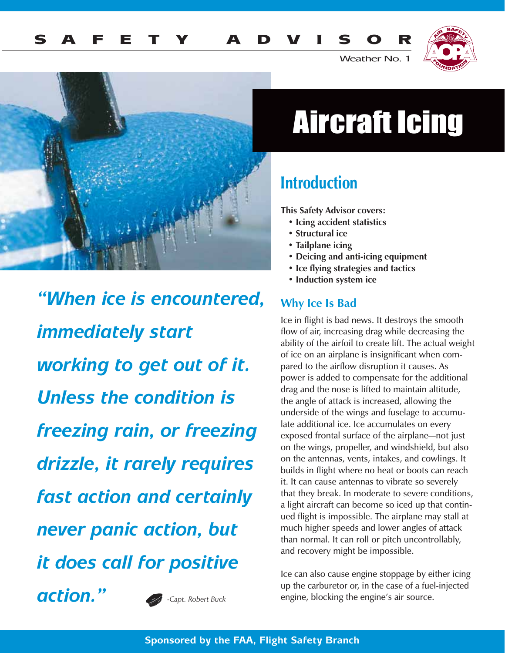



Weather No. 1



*"When ice is encountered, immediately start working to get out of it. Unless the condition is freezing rain, or freezing drizzle, it rarely requires fast action and certainly never panic action, but it does call for positive action." -Capt. Robert Buck*

## Aircraft Icing

## Introduction

**This Safety Advisor covers:**

- **Icing accident statistics**
- **Structural ice**
- **Tailplane icing**
- **Deicing and anti-icing equipment**
- **Ice flying strategies and tactics**
- **Induction system ice**

#### **Why Ice Is Bad**

Ice in flight is bad news. It destroys the smooth flow of air, increasing drag while decreasing the ability of the airfoil to create lift. The actual weight of ice on an airplane is insignificant when compared to the airflow disruption it causes. As power is added to compensate for the additional drag and the nose is lifted to maintain altitude, the angle of attack is increased, allowing the underside of the wings and fuselage to accumulate additional ice. Ice accumulates on every exposed frontal surface of the airplane*—*not just on the wings, propeller, and windshield, but also on the antennas, vents, intakes, and cowlings. It builds in flight where no heat or boots can reach it. It can cause antennas to vibrate so severely that they break. In moderate to severe conditions, a light aircraft can become so iced up that continued flight is impossible. The airplane may stall at much higher speeds and lower angles of attack than normal. It can roll or pitch uncontrollably, and recovery might be impossible.

Ice can also cause engine stoppage by either icing up the carburetor or, in the case of a fuel-injected engine, blocking the engine's air source.

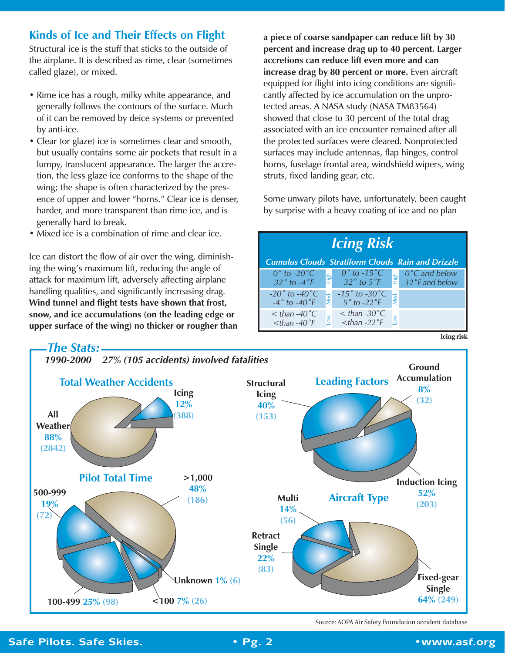#### **Kinds of Ice and Their Effects on Flight**

Structural ice is the stuff that sticks to the outside of the airplane. It is described as rime, clear (sometimes called glaze), or mixed.

- Rime ice has a rough, milky white appearance, and generally follows the contours of the surface. Much of it can be removed by deice systems or prevented by anti-ice.
- Clear (or glaze) ice is sometimes clear and smooth, but usually contains some air pockets that result in a lumpy, translucent appearance. The larger the accretion, the less glaze ice conforms to the shape of the wing; the shape is often characterized by the presence of upper and lower "horns." Clear ice is denser, harder, and more transparent than rime ice, and is generally hard to break.
- Mixed ice is a combination of rime and clear ice.

Ice can distort the flow of air over the wing, diminishing the wing's maximum lift, reducing the angle of attack for maximum lift, adversely affecting airplane handling qualities, and significantly increasing drag. **Wind tunnel and flight tests have shown that frost, snow, and ice accumulations (on the leading edge or upper surface of the wing) no thicker or rougher than** **a piece of coarse sandpaper can reduce lift by 30 percent and increase drag up to 40 percent. Larger accretions can reduce lift even more and can increase drag by 80 percent or more.** Even aircraft equipped for flight into icing conditions are significantly affected by ice accumulation on the unprotected areas. A NASA study (NASA TM83564) showed that close to 30 percent of the total drag associated with an ice encounter remained after all the protected surfaces were cleared. Nonprotected surfaces may include antennas, flap hinges, control horns, fuselage frontal area, windshield wipers, wing struts, fixed landing gear, etc.

Some unwary pilots have, unfortunately, been caught by surprise with a heavy coating of ice and no plan

| <b>Icing Risk</b>                                                         |                                                                                                                                                                                  |
|---------------------------------------------------------------------------|----------------------------------------------------------------------------------------------------------------------------------------------------------------------------------|
| <b>Cumulus Clouds Stratiform Clouds Rain and Drizzle</b>                  |                                                                                                                                                                                  |
| $0^{\circ}$ to -20 $^{\circ}$ C<br>$32^\circ$ to $-4^\circ$ F             | $0^\circ$ to -15 $^\circ$ C<br>$0^{\circ}$ C and below<br>$\frac{1}{2}$ 0°C and below<br>$\frac{1}{2}$ 32°F and below<br>$\frac{1}{2}$ 0° to -15 °C<br>$\frac{1}{2}$ 32° to 5 °F |
| -20 $^{\circ}$ to -40 $^{\circ}$ C<br>Med.<br>$-4^\circ$ to $-40^\circ$ F | $-15°$ to $-30°$ C<br>Med.<br>$5°$ to -22°F                                                                                                                                      |
| $\langle$ than -40 $^{\circ}$ C<br>$ than -40 °F$                         | $<$ than -30 $^{\circ}$ C<br><b>NO</b><br>$<$ than -22 $\degree$ F                                                                                                               |



Source: AOPA Air Safety Foundation accident database

**Icing risk**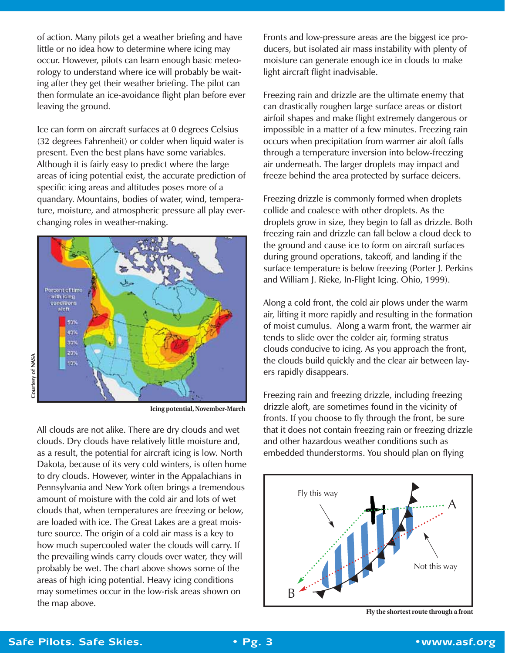of action. Many pilots get a weather briefing and have little or no idea how to determine where icing may occur. However, pilots can learn enough basic meteorology to understand where ice will probably be waiting after they get their weather briefing. The pilot can then formulate an ice-avoidance flight plan before ever leaving the ground.

Ice can form on aircraft surfaces at 0 degrees Celsius (32 degrees Fahrenheit) or colder when liquid water is present. Even the best plans have some variables. Although it is fairly easy to predict where the large areas of icing potential exist, the accurate prediction of specific icing areas and altitudes poses more of a quandary. Mountains, bodies of water, wind, temperature, moisture, and atmospheric pressure all play everchanging roles in weather-making.



**Icing potential, November-March**

All clouds are not alike. There are dry clouds and wet clouds. Dry clouds have relatively little moisture and, as a result, the potential for aircraft icing is low. North Dakota, because of its very cold winters, is often home to dry clouds. However, winter in the Appalachians in Pennsylvania and New York often brings a tremendous amount of moisture with the cold air and lots of wet clouds that, when temperatures are freezing or below, are loaded with ice. The Great Lakes are a great moisture source. The origin of a cold air mass is a key to how much supercooled water the clouds will carry. If the prevailing winds carry clouds over water, they will probably be wet. The chart above shows some of the areas of high icing potential. Heavy icing conditions may sometimes occur in the low-risk areas shown on the map above.

Fronts and low-pressure areas are the biggest ice producers, but isolated air mass instability with plenty of moisture can generate enough ice in clouds to make light aircraft flight inadvisable.

Freezing rain and drizzle are the ultimate enemy that can drastically roughen large surface areas or distort airfoil shapes and make flight extremely dangerous or impossible in a matter of a few minutes. Freezing rain occurs when precipitation from warmer air aloft falls through a temperature inversion into below-freezing air underneath. The larger droplets may impact and freeze behind the area protected by surface deicers.

Freezing drizzle is commonly formed when droplets collide and coalesce with other droplets. As the droplets grow in size, they begin to fall as drizzle. Both freezing rain and drizzle can fall below a cloud deck to the ground and cause ice to form on aircraft surfaces during ground operations, takeoff, and landing if the surface temperature is below freezing (Porter J. Perkins and William J. Rieke, In-Flight Icing. Ohio, 1999).

Along a cold front, the cold air plows under the warm air, lifting it more rapidly and resulting in the formation of moist cumulus. Along a warm front, the warmer air tends to slide over the colder air, forming stratus clouds conducive to icing. As you approach the front, the clouds build quickly and the clear air between layers rapidly disappears.

Freezing rain and freezing drizzle, including freezing drizzle aloft, are sometimes found in the vicinity of fronts. If you choose to fly through the front, be sure that it does not contain freezing rain or freezing drizzle and other hazardous weather conditions such as embedded thunderstorms. You should plan on flying



**Fly the shortest route through a front**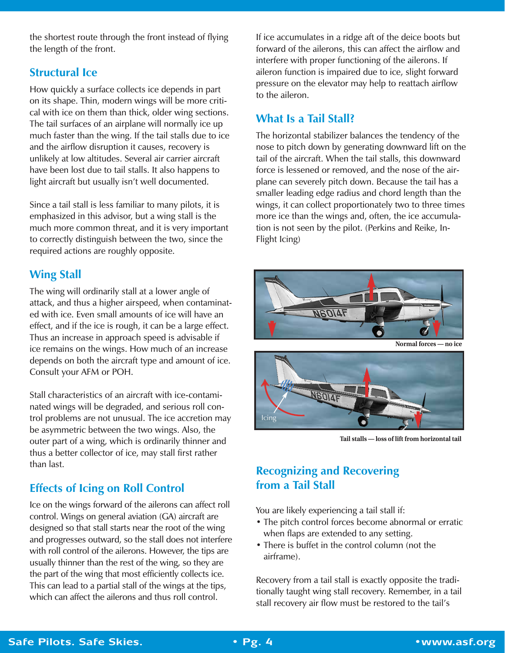the shortest route through the front instead of flying the length of the front.

#### **Structural Ice**

How quickly a surface collects ice depends in part on its shape. Thin, modern wings will be more critical with ice on them than thick, older wing sections. The tail surfaces of an airplane will normally ice up much faster than the wing. If the tail stalls due to ice and the airflow disruption it causes, recovery is unlikely at low altitudes. Several air carrier aircraft have been lost due to tail stalls. It also happens to light aircraft but usually isn't well documented.

Since a tail stall is less familiar to many pilots, it is emphasized in this advisor, but a wing stall is the much more common threat, and it is very important to correctly distinguish between the two, since the required actions are roughly opposite.

#### **Wing Stall**

The wing will ordinarily stall at a lower angle of attack, and thus a higher airspeed, when contaminated with ice. Even small amounts of ice will have an effect, and if the ice is rough, it can be a large effect. Thus an increase in approach speed is advisable if ice remains on the wings. How much of an increase depends on both the aircraft type and amount of ice. Consult your AFM or POH.

Stall characteristics of an aircraft with ice-contaminated wings will be degraded, and serious roll control problems are not unusual. The ice accretion may be asymmetric between the two wings. Also, the outer part of a wing, which is ordinarily thinner and thus a better collector of ice, may stall first rather than last.

#### **Effects of Icing on Roll Control**

Ice on the wings forward of the ailerons can affect roll control. Wings on general aviation (GA) aircraft are designed so that stall starts near the root of the wing and progresses outward, so the stall does not interfere with roll control of the ailerons. However, the tips are usually thinner than the rest of the wing, so they are the part of the wing that most efficiently collects ice. This can lead to a partial stall of the wings at the tips, which can affect the ailerons and thus roll control.

If ice accumulates in a ridge aft of the deice boots but forward of the ailerons, this can affect the airflow and interfere with proper functioning of the ailerons. If aileron function is impaired due to ice, slight forward pressure on the elevator may help to reattach airflow to the aileron.

#### **What Is a Tail Stall?**

The horizontal stabilizer balances the tendency of the nose to pitch down by generating downward lift on the tail of the aircraft. When the tail stalls, this downward force is lessened or removed, and the nose of the airplane can severely pitch down. Because the tail has a smaller leading edge radius and chord length than the wings, it can collect proportionately two to three times more ice than the wings and, often, the ice accumulation is not seen by the pilot. (Perkins and Reike, In-Flight Icing)





**Tail stalls — loss of lift from horizontal tail**

#### **Recognizing and Recovering from a Tail Stall**

You are likely experiencing a tail stall if:

- The pitch control forces become abnormal or erratic when flaps are extended to any setting.
- There is buffet in the control column (not the airframe).

Recovery from a tail stall is exactly opposite the traditionally taught wing stall recovery. Remember, in a tail stall recovery air flow must be restored to the tail's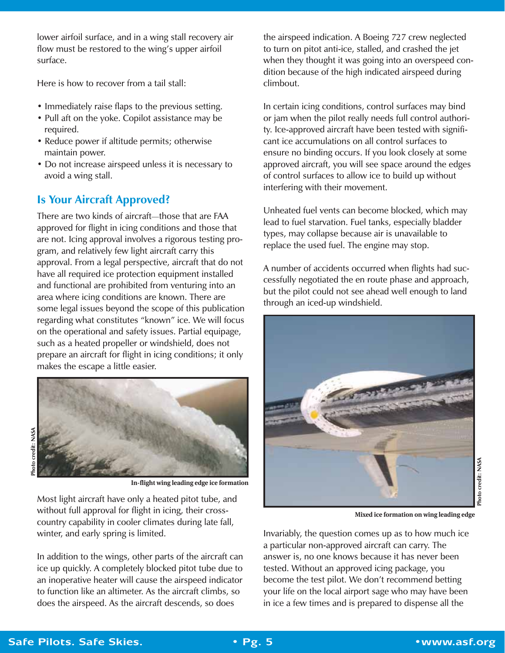lower airfoil surface, and in a wing stall recovery air flow must be restored to the wing's upper airfoil surface.

Here is how to recover from a tail stall:

- Immediately raise flaps to the previous setting.
- Pull aft on the yoke. Copilot assistance may be required.
- Reduce power if altitude permits; otherwise maintain power.
- Do not increase airspeed unless it is necessary to avoid a wing stall.

#### **Is Your Aircraft Approved?**

There are two kinds of aircraft*—*those that are FAA approved for flight in icing conditions and those that are not. Icing approval involves a rigorous testing program, and relatively few light aircraft carry this approval. From a legal perspective, aircraft that do not have all required ice protection equipment installed and functional are prohibited from venturing into an area where icing conditions are known. There are some legal issues beyond the scope of this publication regarding what constitutes "known" ice. We will focus on the operational and safety issues. Partial equipage, such as a heated propeller or windshield, does not prepare an aircraft for flight in icing conditions; it only makes the escape a little easier.



**In-flight wing leading edge ice formation**

Most light aircraft have only a heated pitot tube, and without full approval for flight in icing, their crosscountry capability in cooler climates during late fall, winter, and early spring is limited.

In addition to the wings, other parts of the aircraft can ice up quickly. A completely blocked pitot tube due to an inoperative heater will cause the airspeed indicator to function like an altimeter. As the aircraft climbs, so does the airspeed. As the aircraft descends, so does

the airspeed indication. A Boeing 727 crew neglected to turn on pitot anti-ice, stalled, and crashed the jet when they thought it was going into an overspeed condition because of the high indicated airspeed during climbout.

In certain icing conditions, control surfaces may bind or jam when the pilot really needs full control authority. Ice-approved aircraft have been tested with significant ice accumulations on all control surfaces to ensure no binding occurs. If you look closely at some approved aircraft, you will see space around the edges of control surfaces to allow ice to build up without interfering with their movement.

Unheated fuel vents can become blocked, which may lead to fuel starvation. Fuel tanks, especially bladder types, may collapse because air is unavailable to replace the used fuel. The engine may stop.

A number of accidents occurred when flights had successfully negotiated the en route phase and approach, but the pilot could not see ahead well enough to land through an iced-up windshield.



**Mixed ice formation on wing leading edge**

Invariably, the question comes up as to how much ice a particular non-approved aircraft can carry. The answer is, no one knows because it has never been tested. Without an approved icing package, you become the test pilot. We don't recommend betting your life on the local airport sage who may have been in ice a few times and is prepared to dispense all the

**Photo credit: NASA**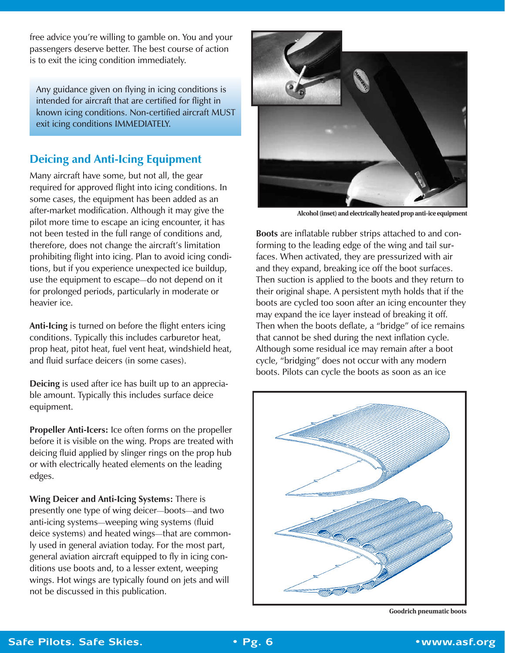free advice you're willing to gamble on. You and your passengers deserve better. The best course of action is to exit the icing condition immediately.

Any guidance given on flying in icing conditions is intended for aircraft that are certified for flight in known icing conditions. Non-certified aircraft MUST exit icing conditions IMMEDIATELY.

#### **Deicing and Anti-Icing Equipment**

Many aircraft have some, but not all, the gear required for approved flight into icing conditions. In some cases, the equipment has been added as an after-market modification. Although it may give the pilot more time to escape an icing encounter, it has not been tested in the full range of conditions and, therefore, does not change the aircraft's limitation prohibiting flight into icing. Plan to avoid icing conditions, but if you experience unexpected ice buildup, use the equipment to escape*—*do not depend on it for prolonged periods, particularly in moderate or heavier ice.

**Anti-Icing** is turned on before the flight enters icing conditions. Typically this includes carburetor heat, prop heat, pitot heat, fuel vent heat, windshield heat, and fluid surface deicers (in some cases).

**Deicing** is used after ice has built up to an appreciable amount. Typically this includes surface deice equipment.

**Propeller Anti-Icers:** Ice often forms on the propeller before it is visible on the wing. Props are treated with deicing fluid applied by slinger rings on the prop hub or with electrically heated elements on the leading edges.

**Wing Deicer and Anti-Icing Systems:** There is presently one type of wing deicer*—*boots*—*and two anti-icing systems*—*weeping wing systems (fluid deice systems) and heated wings*—*that are commonly used in general aviation today. For the most part, general aviation aircraft equipped to fly in icing conditions use boots and, to a lesser extent, weeping wings. Hot wings are typically found on jets and will not be discussed in this publication.



**Alcohol (inset) and electrically heated prop anti-ice equipment**

**Boots** are inflatable rubber strips attached to and conforming to the leading edge of the wing and tail surfaces. When activated, they are pressurized with air and they expand, breaking ice off the boot surfaces. Then suction is applied to the boots and they return to their original shape. A persistent myth holds that if the boots are cycled too soon after an icing encounter they may expand the ice layer instead of breaking it off. Then when the boots deflate, a "bridge" of ice remains that cannot be shed during the next inflation cycle. Although some residual ice may remain after a boot cycle, "bridging" does not occur with any modern boots. Pilots can cycle the boots as soon as an ice



**Goodrich pneumatic boots**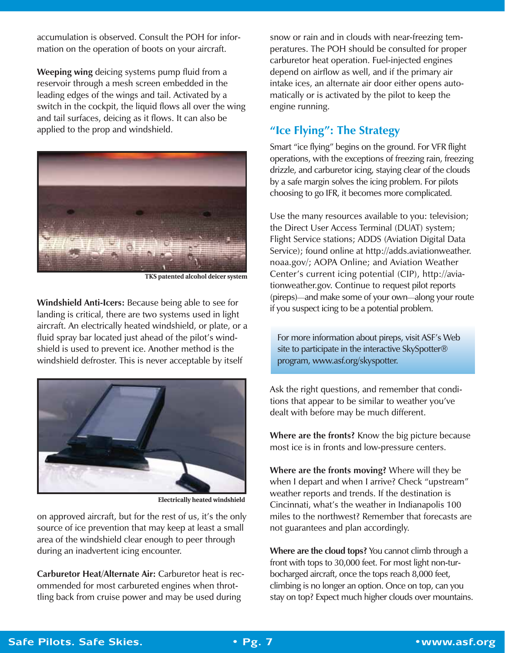accumulation is observed. Consult the POH for information on the operation of boots on your aircraft.

**Weeping wing** deicing systems pump fluid from a reservoir through a mesh screen embedded in the leading edges of the wings and tail. Activated by a switch in the cockpit, the liquid flows all over the wing and tail surfaces, deicing as it flows. It can also be applied to the prop and windshield.



**TKS patented alcohol deicer system**

**Windshield Anti-Icers:** Because being able to see for landing is critical, there are two systems used in light aircraft. An electrically heated windshield, or plate, or a fluid spray bar located just ahead of the pilot's windshield is used to prevent ice. Another method is the windshield defroster. This is never acceptable by itself



**Electrically heated windshield**

on approved aircraft, but for the rest of us, it's the only source of ice prevention that may keep at least a small area of the windshield clear enough to peer through during an inadvertent icing encounter.

**Carburetor Heat/Alternate Air:** Carburetor heat is recommended for most carbureted engines when throttling back from cruise power and may be used during

snow or rain and in clouds with near-freezing temperatures. The POH should be consulted for proper carburetor heat operation. Fuel-injected engines depend on airflow as well, and if the primary air intake ices, an alternate air door either opens automatically or is activated by the pilot to keep the engine running.

#### **"Ice Flying": The Strategy**

Smart "ice flying" begins on the ground. For VFR flight operations, with the exceptions of freezing rain, freezing drizzle, and carburetor icing, staying clear of the clouds by a safe margin solves the icing problem. For pilots choosing to go IFR, it becomes more complicated.

Use the many resources available to you: television; the Direct User Access Terminal (DUAT) system; Flight Service stations; ADDS (Aviation Digital Data Service); found online at http://adds.aviationweather. noaa.gov/; AOPA Online; and Aviation Weather Center's current icing potential (CIP), http://aviationweather.gov. Continue to request pilot reports (pireps)*—*and make some of your own*—*along your route if you suspect icing to be a potential problem.

For more information about pireps, visit ASF's Web site to participate in the interactive SkySpotter® program, www.asf.org/skyspotter.

Ask the right questions, and remember that conditions that appear to be similar to weather you've dealt with before may be much different.

**Where are the fronts?** Know the big picture because most ice is in fronts and low-pressure centers.

**Where are the fronts moving?** Where will they be when I depart and when I arrive? Check "upstream" weather reports and trends. If the destination is Cincinnati, what's the weather in Indianapolis 100 miles to the northwest? Remember that forecasts are not guarantees and plan accordingly.

**Where are the cloud tops?** You cannot climb through a front with tops to 30,000 feet. For most light non-turbocharged aircraft, once the tops reach 8,000 feet, climbing is no longer an option. Once on top, can you stay on top? Expect much higher clouds over mountains.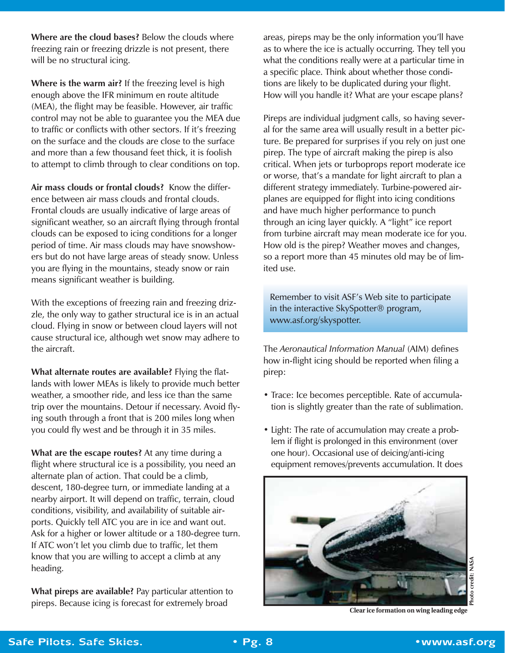**Where are the cloud bases?** Below the clouds where freezing rain or freezing drizzle is not present, there will be no structural icing.

**Where is the warm air?** If the freezing level is high enough above the IFR minimum en route altitude (MEA), the flight may be feasible. However, air traffic control may not be able to guarantee you the MEA due to traffic or conflicts with other sectors. If it's freezing on the surface and the clouds are close to the surface and more than a few thousand feet thick, it is foolish to attempt to climb through to clear conditions on top.

**Air mass clouds or frontal clouds?** Know the difference between air mass clouds and frontal clouds. Frontal clouds are usually indicative of large areas of significant weather, so an aircraft flying through frontal clouds can be exposed to icing conditions for a longer period of time. Air mass clouds may have snowshowers but do not have large areas of steady snow. Unless you are flying in the mountains, steady snow or rain means significant weather is building.

With the exceptions of freezing rain and freezing drizzle, the only way to gather structural ice is in an actual cloud. Flying in snow or between cloud layers will not cause structural ice, although wet snow may adhere to the aircraft.

**What alternate routes are available?** Flying the flatlands with lower MEAs is likely to provide much better weather, a smoother ride, and less ice than the same trip over the mountains. Detour if necessary. Avoid flying south through a front that is 200 miles long when you could fly west and be through it in 35 miles.

**What are the escape routes?** At any time during a flight where structural ice is a possibility, you need an alternate plan of action. That could be a climb, descent, 180-degree turn, or immediate landing at a nearby airport. It will depend on traffic, terrain, cloud conditions, visibility, and availability of suitable airports. Quickly tell ATC you are in ice and want out. Ask for a higher or lower altitude or a 180-degree turn. If ATC won't let you climb due to traffic, let them know that you are willing to accept a climb at any heading.

**What pireps are available?** Pay particular attention to pireps. Because icing is forecast for extremely broad

areas, pireps may be the only information you'll have as to where the ice is actually occurring. They tell you what the conditions really were at a particular time in a specific place. Think about whether those conditions are likely to be duplicated during your flight. How will you handle it? What are your escape plans?

Pireps are individual judgment calls, so having several for the same area will usually result in a better picture. Be prepared for surprises if you rely on just one pirep. The type of aircraft making the pirep is also critical. When jets or turboprops report moderate ice or worse, that's a mandate for light aircraft to plan a different strategy immediately. Turbine-powered airplanes are equipped for flight into icing conditions and have much higher performance to punch through an icing layer quickly. A "light" ice report from turbine aircraft may mean moderate ice for you. How old is the pirep? Weather moves and changes, so a report more than 45 minutes old may be of limited use.

Remember to visit ASF's Web site to participate in the interactive SkySpotter® program, www.asf.org/skyspotter.

The *Aeronautical Information Manual* (AIM) defines how in-flight icing should be reported when filing a pirep:

- Trace: Ice becomes perceptible. Rate of accumulation is slightly greater than the rate of sublimation.
- Light: The rate of accumulation may create a problem if flight is prolonged in this environment (over one hour). Occasional use of deicing/anti-icing equipment removes/prevents accumulation. It does



**Clear ice formation on wing leading edge**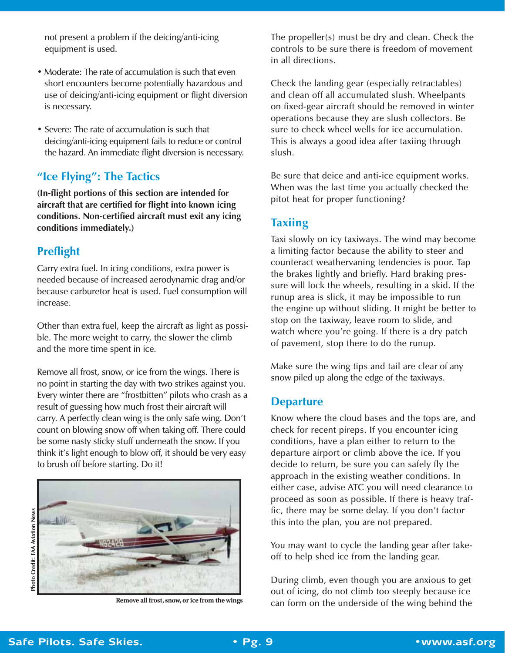not present a problem if the deicing/anti-icing equipment is used.

- Moderate: The rate of accumulation is such that even short encounters become potentially hazardous and use of deicing/anti-icing equipment or flight diversion is necessary.
- Severe: The rate of accumulation is such that deicing/anti-icing equipment fails to reduce or control the hazard. An immediate flight diversion is necessary.

#### **"Ice Flying": The Tactics**

**(In-flight portions of this section are intended for aircraft that are certified for flight into known icing conditions. Non-certified aircraft must exit any icing conditions immediately.)**

#### **Preflight**

Carry extra fuel. In icing conditions, extra power is needed because of increased aerodynamic drag and/or because carburetor heat is used. Fuel consumption will increase.

Other than extra fuel, keep the aircraft as light as possible. The more weight to carry, the slower the climb and the more time spent in ice.

Remove all frost, snow, or ice from the wings. There is no point in starting the day with two strikes against you. Every winter there are "frostbitten" pilots who crash as a result of guessing how much frost their aircraft will carry. A perfectly clean wing is the only safe wing. Don't count on blowing snow off when taking off. There could be some nasty sticky stuff underneath the snow. If you think it's light enough to blow off, it should be very easy to brush off before starting. Do it!



The propeller(s) must be dry and clean. Check the controls to be sure there is freedom of movement in all directions.

Check the landing gear (especially retractables) and clean off all accumulated slush. Wheelpants on fixed-gear aircraft should be removed in winter operations because they are slush collectors. Be sure to check wheel wells for ice accumulation. This is always a good idea after taxiing through slush.

Be sure that deice and anti-ice equipment works. When was the last time you actually checked the pitot heat for proper functioning?

#### **Taxiing**

Taxi slowly on icy taxiways. The wind may become a limiting factor because the ability to steer and counteract weathervaning tendencies is poor. Tap the brakes lightly and briefly. Hard braking pressure will lock the wheels, resulting in a skid. If the runup area is slick, it may be impossible to run the engine up without sliding. It might be better to stop on the taxiway, leave room to slide, and watch where you're going. If there is a dry patch of pavement, stop there to do the runup.

Make sure the wing tips and tail are clear of any snow piled up along the edge of the taxiways.

#### **Departure**

Know where the cloud bases and the tops are, and check for recent pireps. If you encounter icing conditions, have a plan either to return to the departure airport or climb above the ice. If you decide to return, be sure you can safely fly the approach in the existing weather conditions. In either case, advise ATC you will need clearance to proceed as soon as possible. If there is heavy traffic, there may be some delay. If you don't factor this into the plan, you are not prepared.

You may want to cycle the landing gear after takeoff to help shed ice from the landing gear.

During climb, even though you are anxious to get out of icing, do not climb too steeply because ice Remove all frost, snow, or ice from the wings can form on the underside of the wing behind the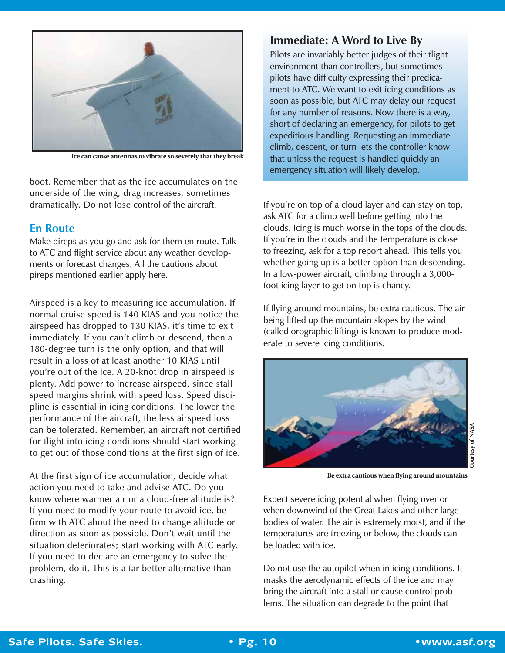

**Ice can cause antennas to vibrate so severely that they break**

boot. Remember that as the ice accumulates on the underside of the wing, drag increases, sometimes dramatically. Do not lose control of the aircraft.

#### **En Route**

Make pireps as you go and ask for them en route. Talk to ATC and flight service about any weather developments or forecast changes. All the cautions about pireps mentioned earlier apply here.

Airspeed is a key to measuring ice accumulation. If normal cruise speed is 140 KIAS and you notice the airspeed has dropped to 130 KIAS, it's time to exit immediately. If you can't climb or descend, then a 180-degree turn is the only option, and that will result in a loss of at least another 10 KIAS until you're out of the ice. A 20-knot drop in airspeed is plenty. Add power to increase airspeed, since stall speed margins shrink with speed loss. Speed discipline is essential in icing conditions. The lower the performance of the aircraft, the less airspeed loss can be tolerated. Remember, an aircraft not certified for flight into icing conditions should start working to get out of those conditions at the first sign of ice.

At the first sign of ice accumulation, decide what action you need to take and advise ATC. Do you know where warmer air or a cloud-free altitude is? If you need to modify your route to avoid ice, be firm with ATC about the need to change altitude or direction as soon as possible. Don't wait until the situation deteriorates; start working with ATC early. If you need to declare an emergency to solve the problem, do it. This is a far better alternative than crashing.

#### **Immediate: A Word to Live By**

Pilots are invariably better judges of their flight environment than controllers, but sometimes pilots have difficulty expressing their predicament to ATC. We want to exit icing conditions as soon as possible, but ATC may delay our request for any number of reasons. Now there is a way, short of declaring an emergency, for pilots to get expeditious handling. Requesting an immediate climb, descent, or turn lets the controller know that unless the request is handled quickly an emergency situation will likely develop.

If you're on top of a cloud layer and can stay on top, ask ATC for a climb well before getting into the clouds. Icing is much worse in the tops of the clouds. If you're in the clouds and the temperature is close to freezing, ask for a top report ahead. This tells you whether going up is a better option than descending. In a low-power aircraft, climbing through a 3,000 foot icing layer to get on top is chancy.

If flying around mountains, be extra cautious. The air being lifted up the mountain slopes by the wind (called orographic lifting) is known to produce moderate to severe icing conditions.



**Be extra cautious when flying around mountains**

Expect severe icing potential when flying over or when downwind of the Great Lakes and other large bodies of water. The air is extremely moist, and if the temperatures are freezing or below, the clouds can be loaded with ice.

Do not use the autopilot when in icing conditions. It masks the aerodynamic effects of the ice and may bring the aircraft into a stall or cause control problems. The situation can degrade to the point that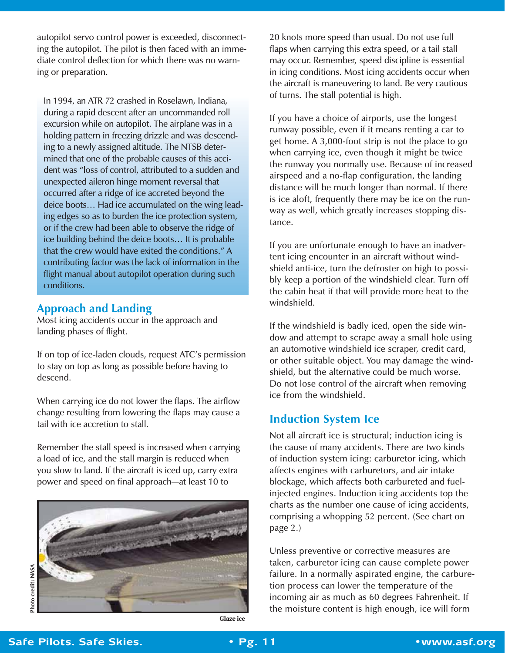autopilot servo control power is exceeded, disconnecting the autopilot. The pilot is then faced with an immediate control deflection for which there was no warning or preparation.

In 1994, an ATR 72 crashed in Roselawn, Indiana, during a rapid descent after an uncommanded roll excursion while on autopilot. The airplane was in a holding pattern in freezing drizzle and was descending to a newly assigned altitude. The NTSB determined that one of the probable causes of this accident was "loss of control, attributed to a sudden and unexpected aileron hinge moment reversal that occurred after a ridge of ice accreted beyond the deice boots… Had ice accumulated on the wing leading edges so as to burden the ice protection system, or if the crew had been able to observe the ridge of ice building behind the deice boots… It is probable that the crew would have exited the conditions." A contributing factor was the lack of information in the flight manual about autopilot operation during such conditions.

#### **Approach and Landing**

Most icing accidents occur in the approach and landing phases of flight.

If on top of ice-laden clouds, request ATC's permission to stay on top as long as possible before having to descend.

When carrying ice do not lower the flaps. The airflow change resulting from lowering the flaps may cause a tail with ice accretion to stall.

Remember the stall speed is increased when carrying a load of ice, and the stall margin is reduced when you slow to land. If the aircraft is iced up, carry extra power and speed on final approach*—*at least 10 to



20 knots more speed than usual. Do not use full flaps when carrying this extra speed, or a tail stall may occur. Remember, speed discipline is essential in icing conditions. Most icing accidents occur when the aircraft is maneuvering to land. Be very cautious of turns. The stall potential is high.

If you have a choice of airports, use the longest runway possible, even if it means renting a car to get home. A 3,000-foot strip is not the place to go when carrying ice, even though it might be twice the runway you normally use. Because of increased airspeed and a no-flap configuration, the landing distance will be much longer than normal. If there is ice aloft, frequently there may be ice on the runway as well, which greatly increases stopping distance.

If you are unfortunate enough to have an inadvertent icing encounter in an aircraft without windshield anti-ice, turn the defroster on high to possibly keep a portion of the windshield clear. Turn off the cabin heat if that will provide more heat to the windshield.

If the windshield is badly iced, open the side window and attempt to scrape away a small hole using an automotive windshield ice scraper, credit card, or other suitable object. You may damage the windshield, but the alternative could be much worse. Do not lose control of the aircraft when removing ice from the windshield.

#### **Induction System Ice**

Not all aircraft ice is structural; induction icing is the cause of many accidents. There are two kinds of induction system icing: carburetor icing, which affects engines with carburetors, and air intake blockage, which affects both carbureted and fuelinjected engines. Induction icing accidents top the charts as the number one cause of icing accidents, comprising a whopping 52 percent. (See chart on page 2.)

Unless preventive or corrective measures are taken, carburetor icing can cause complete power failure. In a normally aspirated engine, the carburetion process can lower the temperature of the incoming air as much as 60 degrees Fahrenheit. If the moisture content is high enough, ice will form

**Glaze ice**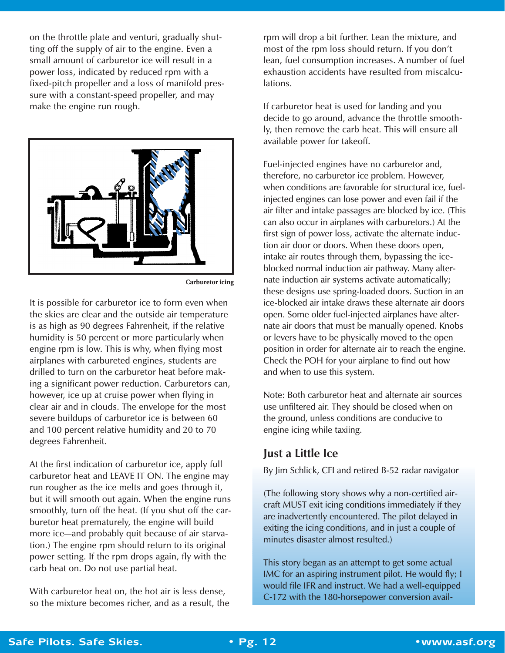on the throttle plate and venturi, gradually shutting off the supply of air to the engine. Even a small amount of carburetor ice will result in a power loss, indicated by reduced rpm with a fixed-pitch propeller and a loss of manifold pressure with a constant-speed propeller, and may make the engine run rough.



**Carburetor icing**

It is possible for carburetor ice to form even when the skies are clear and the outside air temperature is as high as 90 degrees Fahrenheit, if the relative humidity is 50 percent or more particularly when engine rpm is low. This is why, when flying most airplanes with carbureted engines, students are drilled to turn on the carburetor heat before making a significant power reduction. Carburetors can, however, ice up at cruise power when flying in clear air and in clouds. The envelope for the most severe buildups of carburetor ice is between 60 and 100 percent relative humidity and 20 to 70 degrees Fahrenheit.

At the first indication of carburetor ice, apply full carburetor heat and LEAVE IT ON. The engine may run rougher as the ice melts and goes through it, but it will smooth out again. When the engine runs smoothly, turn off the heat. (If you shut off the carburetor heat prematurely, the engine will build more ice*—*and probably quit because of air starvation.) The engine rpm should return to its original power setting. If the rpm drops again, fly with the carb heat on. Do not use partial heat.

With carburetor heat on, the hot air is less dense, so the mixture becomes richer, and as a result, the rpm will drop a bit further. Lean the mixture, and most of the rpm loss should return. If you don't lean, fuel consumption increases. A number of fuel exhaustion accidents have resulted from miscalculations.

If carburetor heat is used for landing and you decide to go around, advance the throttle smoothly, then remove the carb heat. This will ensure all available power for takeoff.

Fuel-injected engines have no carburetor and, therefore, no carburetor ice problem. However, when conditions are favorable for structural ice, fuelinjected engines can lose power and even fail if the air filter and intake passages are blocked by ice. (This can also occur in airplanes with carburetors.) At the first sign of power loss, activate the alternate induction air door or doors. When these doors open, intake air routes through them, bypassing the iceblocked normal induction air pathway. Many alternate induction air systems activate automatically; these designs use spring-loaded doors. Suction in an ice-blocked air intake draws these alternate air doors open. Some older fuel-injected airplanes have alternate air doors that must be manually opened. Knobs or levers have to be physically moved to the open position in order for alternate air to reach the engine. Check the POH for your airplane to find out how and when to use this system.

Note: Both carburetor heat and alternate air sources use unfiltered air. They should be closed when on the ground, unless conditions are conducive to engine icing while taxiing.

#### **Just a Little Ice**

By Jim Schlick, CFI and retired B-52 radar navigator

(The following story shows why a non-certified aircraft MUST exit icing conditions immediately if they are inadvertently encountered. The pilot delayed in exiting the icing conditions, and in just a couple of minutes disaster almost resulted.)

This story began as an attempt to get some actual IMC for an aspiring instrument pilot. He would fly; I would file IFR and instruct. We had a well-equipped C-172 with the 180-horsepower conversion avail-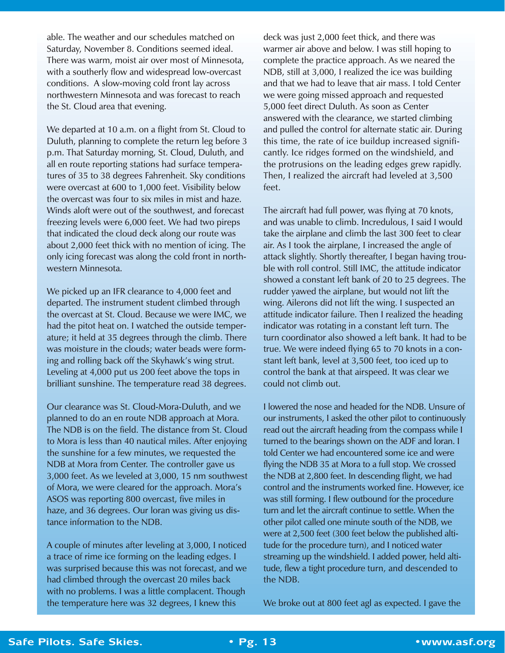able. The weather and our schedules matched on Saturday, November 8. Conditions seemed ideal. There was warm, moist air over most of Minnesota, with a southerly flow and widespread low-overcast conditions. A slow-moving cold front lay across northwestern Minnesota and was forecast to reach the St. Cloud area that evening.

We departed at 10 a.m. on a flight from St. Cloud to Duluth, planning to complete the return leg before 3 p.m. That Saturday morning, St. Cloud, Duluth, and all en route reporting stations had surface temperatures of 35 to 38 degrees Fahrenheit. Sky conditions were overcast at 600 to 1,000 feet. Visibility below the overcast was four to six miles in mist and haze. Winds aloft were out of the southwest, and forecast freezing levels were 6,000 feet. We had two pireps that indicated the cloud deck along our route was about 2,000 feet thick with no mention of icing. The only icing forecast was along the cold front in northwestern Minnesota.

We picked up an IFR clearance to 4,000 feet and departed. The instrument student climbed through the overcast at St. Cloud. Because we were IMC, we had the pitot heat on. I watched the outside temperature; it held at 35 degrees through the climb. There was moisture in the clouds; water beads were forming and rolling back off the Skyhawk's wing strut. Leveling at 4,000 put us 200 feet above the tops in brilliant sunshine. The temperature read 38 degrees.

Our clearance was St. Cloud-Mora-Duluth, and we planned to do an en route NDB approach at Mora. The NDB is on the field. The distance from St. Cloud to Mora is less than 40 nautical miles. After enjoying the sunshine for a few minutes, we requested the NDB at Mora from Center. The controller gave us 3,000 feet. As we leveled at 3,000, 15 nm southwest of Mora, we were cleared for the approach. Mora's ASOS was reporting 800 overcast, five miles in haze, and 36 degrees. Our loran was giving us distance information to the NDB.

A couple of minutes after leveling at 3,000, I noticed a trace of rime ice forming on the leading edges. I was surprised because this was not forecast, and we had climbed through the overcast 20 miles back with no problems. I was a little complacent. Though the temperature here was 32 degrees, I knew this

deck was just 2,000 feet thick, and there was warmer air above and below. I was still hoping to complete the practice approach. As we neared the NDB, still at 3,000, I realized the ice was building and that we had to leave that air mass. I told Center we were going missed approach and requested 5,000 feet direct Duluth. As soon as Center answered with the clearance, we started climbing and pulled the control for alternate static air. During this time, the rate of ice buildup increased significantly. Ice ridges formed on the windshield, and the protrusions on the leading edges grew rapidly. Then, I realized the aircraft had leveled at 3,500 feet.

The aircraft had full power, was flying at 70 knots, and was unable to climb. Incredulous, I said I would take the airplane and climb the last 300 feet to clear air. As I took the airplane, I increased the angle of attack slightly. Shortly thereafter, I began having trouble with roll control. Still IMC, the attitude indicator showed a constant left bank of 20 to 25 degrees. The rudder yawed the airplane, but would not lift the wing. Ailerons did not lift the wing. I suspected an attitude indicator failure. Then I realized the heading indicator was rotating in a constant left turn. The turn coordinator also showed a left bank. It had to be true. We were indeed flying 65 to 70 knots in a constant left bank, level at 3,500 feet, too iced up to control the bank at that airspeed. It was clear we could not climb out.

I lowered the nose and headed for the NDB. Unsure of our instruments, I asked the other pilot to continuously read out the aircraft heading from the compass while I turned to the bearings shown on the ADF and loran. I told Center we had encountered some ice and were flying the NDB 35 at Mora to a full stop. We crossed the NDB at 2,800 feet. In descending flight, we had control and the instruments worked fine. However, ice was still forming. I flew outbound for the procedure turn and let the aircraft continue to settle. When the other pilot called one minute south of the NDB, we were at 2,500 feet (300 feet below the published altitude for the procedure turn), and I noticed water streaming up the windshield. I added power, held altitude, flew a tight procedure turn, and descended to the NDB.

We broke out at 800 feet agl as expected. I gave the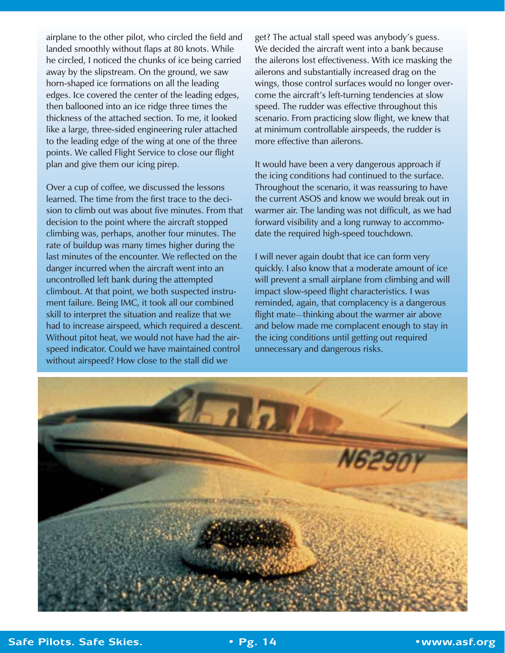airplane to the other pilot, who circled the field and landed smoothly without flaps at 80 knots. While he circled, I noticed the chunks of ice being carried away by the slipstream. On the ground, we saw horn-shaped ice formations on all the leading edges. Ice covered the center of the leading edges, then ballooned into an ice ridge three times the thickness of the attached section. To me, it looked like a large, three-sided engineering ruler attached to the leading edge of the wing at one of the three points. We called Flight Service to close our flight plan and give them our icing pirep.

Over a cup of coffee, we discussed the lessons learned. The time from the first trace to the decision to climb out was about five minutes. From that decision to the point where the aircraft stopped climbing was, perhaps, another four minutes. The rate of buildup was many times higher during the last minutes of the encounter. We reflected on the danger incurred when the aircraft went into an uncontrolled left bank during the attempted climbout. At that point, we both suspected instrument failure. Being IMC, it took all our combined skill to interpret the situation and realize that we had to increase airspeed, which required a descent. Without pitot heat, we would not have had the airspeed indicator. Could we have maintained control without airspeed? How close to the stall did we

get? The actual stall speed was anybody's guess. We decided the aircraft went into a bank because the ailerons lost effectiveness. With ice masking the ailerons and substantially increased drag on the wings, those control surfaces would no longer overcome the aircraft's left-turning tendencies at slow speed. The rudder was effective throughout this scenario. From practicing slow flight, we knew that at minimum controllable airspeeds, the rudder is more effective than ailerons.

It would have been a very dangerous approach if the icing conditions had continued to the surface. Throughout the scenario, it was reassuring to have the current ASOS and know we would break out in warmer air. The landing was not difficult, as we had forward visibility and a long runway to accommodate the required high-speed touchdown.

I will never again doubt that ice can form very quickly. I also know that a moderate amount of ice will prevent a small airplane from climbing and will impact slow-speed flight characteristics. I was reminded, again, that complacency is a dangerous flight mate*—*thinking about the warmer air above and below made me complacent enough to stay in the icing conditions until getting out required unnecessary and dangerous risks.

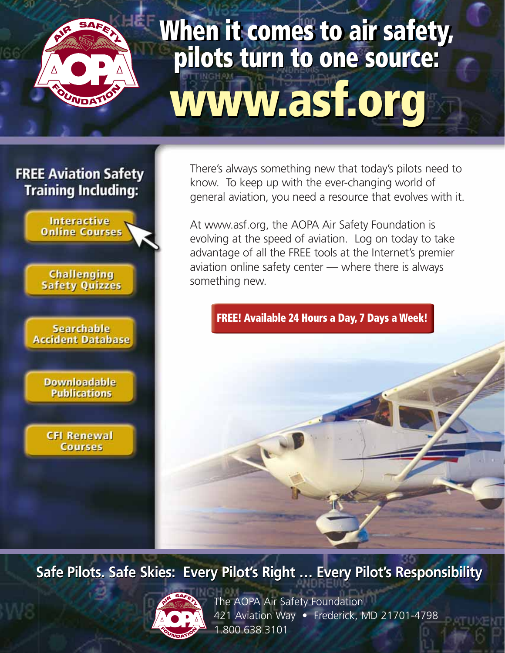

# **www.asf.org www.asf.org When it can be a sourced to an interest in the source: pit INGHAM**

## **FREE Aviation Safety Training Including:**



There's always something new that today's pilots need to know. To keep up with the ever-changing world of general aviation, you need a resource that evolves with it.

At www.asf.org, the AOPA Air Safety Foundation is evolving at the speed of aviation. Log on today to take advantage of all the FREE tools at the Internet's premier aviation online safety center — where there is always something new.

## **FREE! Available 24 Hours a Day, 7 Days a Week!**

**Safe Pilots. Safe Skies: Every Pilot's Right … Every Pilot's Responsibility**



The AOPA Air Safety Foundation 421 Aviation Way · Frederick, MD 21701-4798 1.800.638.3101